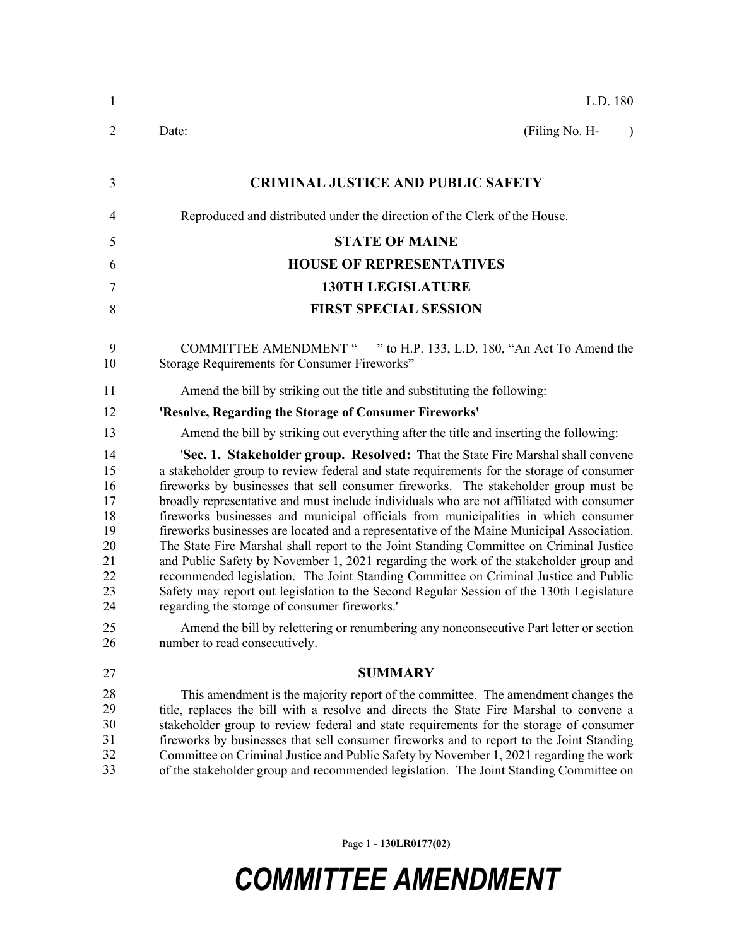| 1                                                                          | L.D. 180                                                                                                                                                                                                                                                                                                                                                                                                                                                                                                                                                                                                                                                                                                                                                                                                                                                                                                                                                                                                                                                                                                     |
|----------------------------------------------------------------------------|--------------------------------------------------------------------------------------------------------------------------------------------------------------------------------------------------------------------------------------------------------------------------------------------------------------------------------------------------------------------------------------------------------------------------------------------------------------------------------------------------------------------------------------------------------------------------------------------------------------------------------------------------------------------------------------------------------------------------------------------------------------------------------------------------------------------------------------------------------------------------------------------------------------------------------------------------------------------------------------------------------------------------------------------------------------------------------------------------------------|
| $\overline{2}$                                                             | (Filing No. H-<br>Date:<br>$\lambda$                                                                                                                                                                                                                                                                                                                                                                                                                                                                                                                                                                                                                                                                                                                                                                                                                                                                                                                                                                                                                                                                         |
| 3                                                                          | <b>CRIMINAL JUSTICE AND PUBLIC SAFETY</b>                                                                                                                                                                                                                                                                                                                                                                                                                                                                                                                                                                                                                                                                                                                                                                                                                                                                                                                                                                                                                                                                    |
| 4                                                                          | Reproduced and distributed under the direction of the Clerk of the House.                                                                                                                                                                                                                                                                                                                                                                                                                                                                                                                                                                                                                                                                                                                                                                                                                                                                                                                                                                                                                                    |
| 5                                                                          | <b>STATE OF MAINE</b>                                                                                                                                                                                                                                                                                                                                                                                                                                                                                                                                                                                                                                                                                                                                                                                                                                                                                                                                                                                                                                                                                        |
| 6                                                                          | <b>HOUSE OF REPRESENTATIVES</b>                                                                                                                                                                                                                                                                                                                                                                                                                                                                                                                                                                                                                                                                                                                                                                                                                                                                                                                                                                                                                                                                              |
| $\tau$                                                                     | <b>130TH LEGISLATURE</b>                                                                                                                                                                                                                                                                                                                                                                                                                                                                                                                                                                                                                                                                                                                                                                                                                                                                                                                                                                                                                                                                                     |
| 8                                                                          | <b>FIRST SPECIAL SESSION</b>                                                                                                                                                                                                                                                                                                                                                                                                                                                                                                                                                                                                                                                                                                                                                                                                                                                                                                                                                                                                                                                                                 |
| 9<br>10                                                                    | <b>COMMITTEE AMENDMENT "</b><br>" to H.P. 133, L.D. 180, "An Act To Amend the<br>Storage Requirements for Consumer Fireworks"                                                                                                                                                                                                                                                                                                                                                                                                                                                                                                                                                                                                                                                                                                                                                                                                                                                                                                                                                                                |
| 11                                                                         | Amend the bill by striking out the title and substituting the following:                                                                                                                                                                                                                                                                                                                                                                                                                                                                                                                                                                                                                                                                                                                                                                                                                                                                                                                                                                                                                                     |
| 12                                                                         | 'Resolve, Regarding the Storage of Consumer Fireworks'                                                                                                                                                                                                                                                                                                                                                                                                                                                                                                                                                                                                                                                                                                                                                                                                                                                                                                                                                                                                                                                       |
| 13                                                                         | Amend the bill by striking out everything after the title and inserting the following:                                                                                                                                                                                                                                                                                                                                                                                                                                                                                                                                                                                                                                                                                                                                                                                                                                                                                                                                                                                                                       |
| 14<br>15<br>16<br>17<br>18<br>19<br>20<br>21<br>22<br>23<br>24<br>25<br>26 | <b>'Sec. 1. Stakeholder group. Resolved:</b> That the State Fire Marshal shall convene<br>a stakeholder group to review federal and state requirements for the storage of consumer<br>fireworks by businesses that sell consumer fireworks. The stakeholder group must be<br>broadly representative and must include individuals who are not affiliated with consumer<br>fireworks businesses and municipal officials from municipalities in which consumer<br>fireworks businesses are located and a representative of the Maine Municipal Association.<br>The State Fire Marshal shall report to the Joint Standing Committee on Criminal Justice<br>and Public Safety by November 1, 2021 regarding the work of the stakeholder group and<br>recommended legislation. The Joint Standing Committee on Criminal Justice and Public<br>Safety may report out legislation to the Second Regular Session of the 130th Legislature<br>regarding the storage of consumer fireworks.'<br>Amend the bill by relettering or renumbering any nonconsecutive Part letter or section<br>number to read consecutively. |
| 27                                                                         | <b>SUMMARY</b>                                                                                                                                                                                                                                                                                                                                                                                                                                                                                                                                                                                                                                                                                                                                                                                                                                                                                                                                                                                                                                                                                               |
| 28<br>29<br>30<br>31<br>32<br>33                                           | This amendment is the majority report of the committee. The amendment changes the<br>title, replaces the bill with a resolve and directs the State Fire Marshal to convene a<br>stakeholder group to review federal and state requirements for the storage of consumer<br>fireworks by businesses that sell consumer fireworks and to report to the Joint Standing<br>Committee on Criminal Justice and Public Safety by November 1, 2021 regarding the work<br>of the stakeholder group and recommended legislation. The Joint Standing Committee on                                                                                                                                                                                                                                                                                                                                                                                                                                                                                                                                                        |

Page 1 - **130LR0177(02)**

## *COMMITTEE AMENDMENT*